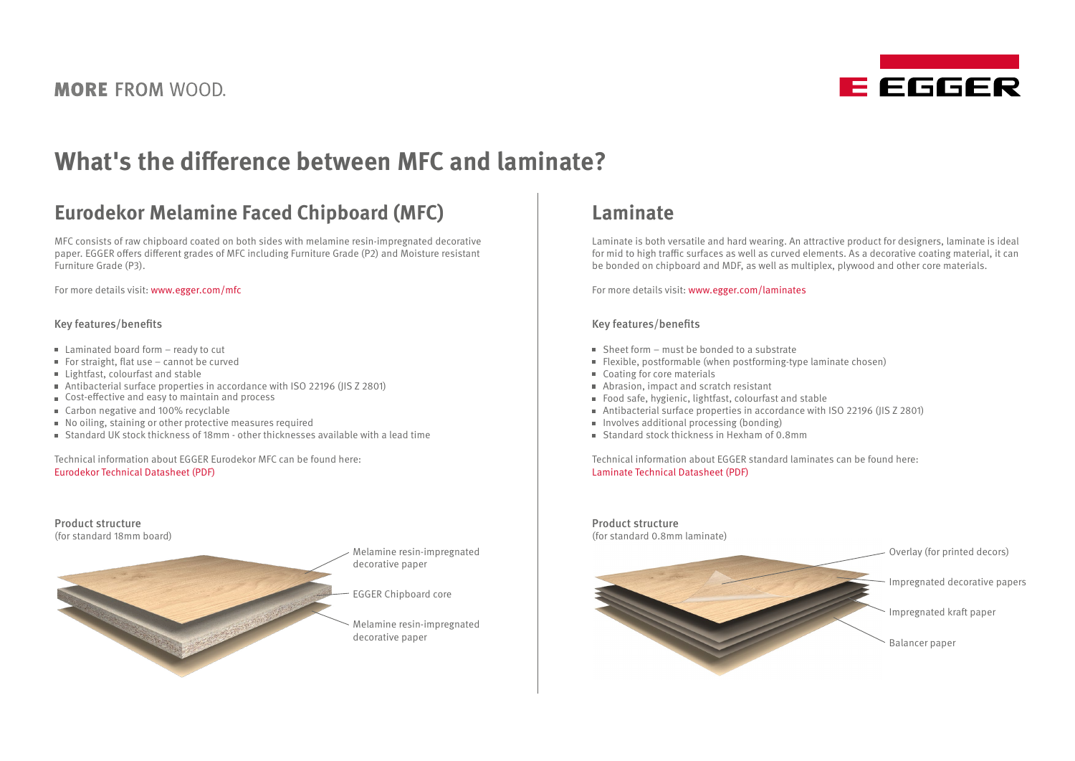**MORE FROM WOOD.** 



# **What's the difference between MFC and laminate?**

## **Eurodekor Melamine Faced Chipboard (MFC)**

MFC consists of raw chipboard coated on both sides with melamine resin-impregnated decorative paper. EGGER offers different grades of MFC including Furniture Grade (P2) and Moisture resistant Furniture Grade (P3).

For more details visit: [www.egger.com/mfc](https://www.egger.com/shop/en_GB/interior/product/MELAMINFACEDBOARDS)

#### Key features/benefits

- Laminated board form ready to cut
- For straight, flat use cannot be curved
- **Lightfast, colourfast and stable**
- Antibacterial surface properties in accordance with ISO 22196 (JIS Z 2801)
- Cost-effective and easy to maintain and process
- Carbon negative and 100% recyclable
- No oiling, staining or other protective measures required
- $\blacksquare$  Standard UK stock thickness of 18mm other thicknesses available with a lead time

Technical information about EGGER Eurodekor MFC can be found here: [Eurodekor Technical Datasheet \(PDF\)](https://www.egger.com/get_download/1f8251d5-b2ec-4e40-9358-eeb0b936858b/Technical_datasheet_Eurodekor_English.pdf)

Product structure (for standard 18mm board) Melamine resin-impregnated decorative paper EGGER Chipboard core Melamine resin-impregnated decorative paper

## **Laminate**

Laminate is both versatile and hard wearing. An attractive product for designers, laminate is ideal for mid to high traffic surfaces as well as curved elements. As a decorative coating material, it can be bonded on chipboard and MDF, as well as multiplex, plywood and other core materials.

For more details visit: [www.egger.com/laminates](https://www.egger.com/shop/en_GB/interior/product/LAMINATES)

#### Key features/benefits

- $S$  Sheet form must be bonded to a substrate
- Flexible, postformable (when postforming-type laminate chosen)
- Coating for core materials
- Abrasion, impact and scratch resistant
- Food safe, hygienic, lightfast, colourfast and stable
- Antibacterial surface properties in accordance with ISO 22196 (JIS Z 2801)
- $\blacksquare$  Involves additional processing (bonding)
- Standard stock thickness in Hexham of 0.8mm

Technical information about EGGER standard laminates can be found here: [Laminate Technical Datasheet \(PDF\)](https://www.egger.com/get_download/44a259c8-a9f0-4be2-bbde-d7e260f5e5fd/Technical_data_sheet_laminate.pdf)